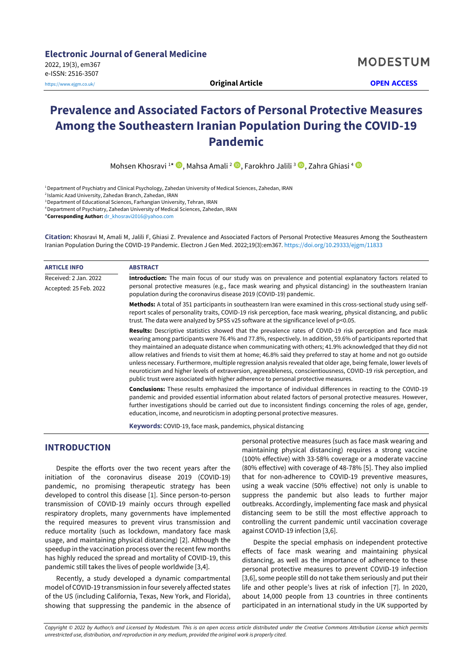# **Prevalence and Associated Factors of Personal Protective Measures Among the Southeastern Iranian Population During the COVID-19 Pandemic**

Mohsen Khosravi <sup>1\*</sup> (D[,](https://orcid.org/0000-0002-4196-9083) Mahsa Amali <sup>2</sup> D, Farokhro Jalili <sup>3</sup> D, Zahra Ghiasi <sup>4</sup>

<sup>1</sup>Department of Psychiatry and Clinical Psychology, Zahedan University of Medical Sciences, Zahedan, IRAN

<sup>2</sup>Islamic Azad University, Zahedan Branch, Zahedan, IRAN

<sup>3</sup> Department of Educational Sciences, Farhangian University, Tehran, IRAN

<sup>4</sup>Department of Psychiatry, Zahedan University of Medical Sciences, Zahedan, IRAN

\***Corresponding Author:** [dr\\_khosravi2016@yahoo.com](mailto:dr_khosravi2016@yahoo.com)

**Citation:** Khosravi M, Amali M, Jalili F, Ghiasi Z. Prevalence and Associated Factors of Personal Protective Measures Among the Southeastern Iranian Population During the COVID-19 Pandemic. Electron J Gen Med. 2022;19(3):em367. <https://doi.org/10.29333/ejgm/11833>

| <b>ARTICLE INFO</b>    | <b>ABSTRACT</b>                                                                                                                                                                                                                                                                                                                                                                                                                                                                                                                                                                                                                                                                                                                                                                                     |  |  |  |  |  |  |
|------------------------|-----------------------------------------------------------------------------------------------------------------------------------------------------------------------------------------------------------------------------------------------------------------------------------------------------------------------------------------------------------------------------------------------------------------------------------------------------------------------------------------------------------------------------------------------------------------------------------------------------------------------------------------------------------------------------------------------------------------------------------------------------------------------------------------------------|--|--|--|--|--|--|
| Received: 2 Jan. 2022  | Introduction: The main focus of our study was on prevalence and potential explanatory factors related to<br>personal protective measures (e.g., face mask wearing and physical distancing) in the southeastern Iranian<br>population during the coronavirus disease 2019 (COVID-19) pandemic.                                                                                                                                                                                                                                                                                                                                                                                                                                                                                                       |  |  |  |  |  |  |
| Accepted: 25 Feb. 2022 |                                                                                                                                                                                                                                                                                                                                                                                                                                                                                                                                                                                                                                                                                                                                                                                                     |  |  |  |  |  |  |
|                        | Methods: A total of 351 participants in southeastern Iran were examined in this cross-sectional study using self-<br>report scales of personality traits, COVID-19 risk perception, face mask wearing, physical distancing, and public<br>trust. The data were analyzed by SPSS v25 software at the significance level of p<0.05.                                                                                                                                                                                                                                                                                                                                                                                                                                                                   |  |  |  |  |  |  |
|                        | <b>Results:</b> Descriptive statistics showed that the prevalence rates of COVID-19 risk perception and face mask<br>wearing among participants were 76.4% and 77.8%, respectively. In addition, 59.6% of participants reported that<br>they maintained an adequate distance when communicating with others; 41.9% acknowledged that they did not<br>allow relatives and friends to visit them at home; 46.8% said they preferred to stay at home and not go outside<br>unless necessary. Furthermore, multiple regression analysis revealed that older age, being female, lower levels of<br>neuroticism and higher levels of extraversion, agreeableness, conscientiousness, COVID-19 risk perception, and<br>public trust were associated with higher adherence to personal protective measures. |  |  |  |  |  |  |
|                        | <b>Conclusions:</b> These results emphasized the importance of individual differences in reacting to the COVID-19<br>pandemic and provided essential information about related factors of personal protective measures. However,<br>further investigations should be carried out due to inconsistent findings concerning the roles of age, gender,<br>education, income, and neuroticism in adopting personal protective measures.                                                                                                                                                                                                                                                                                                                                                                  |  |  |  |  |  |  |

**Keywords:** COVID-19, face mask, pandemics, physical distancing

# **INTRODUCTION**

Despite the efforts over the two recent years after the initiation of the coronavirus disease 2019 (COVID-19) pandemic, no promising therapeutic strategy has been developed to control this disease [1]. Since person-to-person transmission of COVID-19 mainly occurs through expelled respiratory droplets, many governments have implemented the required measures to prevent virus transmission and reduce mortality (such as lockdown, mandatory face mask usage, and maintaining physical distancing) [2]. Although the speedup in the vaccination process over the recent few months has highly reduced the spread and mortality of COVID-19, this pandemic still takes the lives of people worldwide [3,4].

Recently, a study developed a dynamic compartmental model of COVID-19 transmission in four severely affected states of the US (including California, Texas, New York, and Florida), showing that suppressing the pandemic in the absence of

personal protective measures (such as face mask wearing and maintaining physical distancing) requires a strong vaccine (100% effective) with 33-58% coverage or a moderate vaccine (80% effective) with coverage of 48-78% [5]. They also implied that for non-adherence to COVID-19 preventive measures, using a weak vaccine (50% effective) not only is unable to suppress the pandemic but also leads to further major outbreaks. Accordingly, implementing face mask and physical distancing seem to be still the most effective approach to controlling the current pandemic until vaccination coverage against COVID-19 infection [3,6].

Despite the special emphasis on independent protective effects of face mask wearing and maintaining physical distancing, as well as the importance of adherence to these personal protective measures to prevent COVID-19 infection [3,6], some people still do not take them seriously and put their life and other people's lives at risk of infection [7]. In 2020, about 14,000 people from 13 countries in three continents participated in an international study in the UK supported by

*Copyright © 2022 by Author/s and Licensed by Modestum. This is an open access article distributed under the Creative Commons Attribution License which permits unrestricted use, distribution, and reproduction in any medium, provided the original work is properly cited.*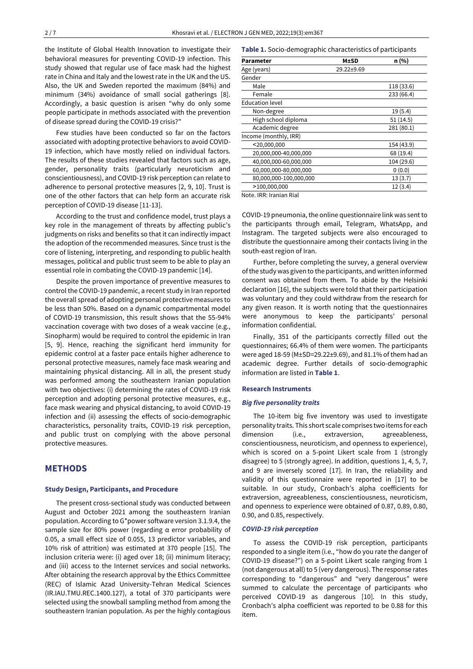the Institute of Global Health Innovation to investigate their behavioral measures for preventing COVID-19 infection. This study showed that regular use of face mask had the highest rate in China and Italy and the lowest rate in the UK and the US. Also, the UK and Sweden reported the maximum (84%) and minimum (34%) avoidance of small social gatherings [8]. Accordingly, a basic question is arisen "why do only some people participate in methods associated with the prevention of disease spread during the COVID-19 crisis?"

Few studies have been conducted so far on the factors associated with adopting protective behaviors to avoid COVID-19 infection, which have mostly relied on individual factors. The results of these studies revealed that factors such as age, gender, personality traits (particularly neuroticism and conscientiousness), and COVID-19 risk perception can relate to adherence to personal protective measures [2, 9, 10]. Trust is one of the other factors that can help form an accurate risk perception of COVID-19 disease [11-13].

According to the trust and confidence model, trust plays a key role in the management of threats by affecting public's judgments on risks and benefits so that it can indirectly impact the adoption of the recommended measures. Since trust is the core of listening, interpreting, and responding to public health messages, political and public trust seem to be able to play an essential role in combating the COVID-19 pandemic [14].

Despite the proven importance of preventive measures to control the COVID-19 pandemic, a recent study in Iran reported the overall spread of adopting personal protective measures to be less than 50%. Based on a dynamic compartmental model of COVID-19 transmission, this result shows that the 55-94% vaccination coverage with two doses of a weak vaccine (e.g., Sinopharm) would be required to control the epidemic in Iran [5, 9]. Hence, reaching the significant herd immunity for epidemic control at a faster pace entails higher adherence to personal protective measures, namely face mask wearing and maintaining physical distancing. All in all, the present study was performed among the southeastern Iranian population with two objectives: (i) determining the rates of COVID-19 risk perception and adopting personal protective measures, e.g., face mask wearing and physical distancing, to avoid COVID-19 infection and (ii) assessing the effects of socio-demographic characteristics, personality traits, COVID-19 risk perception, and public trust on complying with the above personal protective measures.

# **METHODS**

#### **Study Design, Participants, and Procedure**

The present cross-sectional study was conducted between August and October 2021 among the southeastern Iranian population. According to G\*power software version 3.1.9.4, the sample size for 80% power (regarding α error probability of 0.05, a small effect size of 0.055, 13 predictor variables, and 10% risk of attrition) was estimated at 370 people [15]. The inclusion criteria were: (i) aged over 18; (ii) minimum literacy; and (iii) access to the Internet services and social networks. After obtaining the research approval by the Ethics Committee (REC) of Islamic Azad University-Tehran Medical Sciences (IR.IAU.TMU.REC.1400.127), a total of 370 participants were selected using the snowball sampling method from among the southeastern Iranian population. As per the highly contagious **Table 1.** Socio-demographic characteristics of participants

| Parameter              | M±SD       | n (%)      |
|------------------------|------------|------------|
| Age (years)            | 29.22±9.69 |            |
| Gender                 |            |            |
| Male                   |            | 118 (33.6) |
| Female                 |            | 233 (66.4) |
| <b>Education level</b> |            |            |
| Non-degree             |            | 19(5.4)    |
| High school diploma    |            | 51(14.5)   |
| Academic degree        |            | 281(80.1)  |
| Income (monthly, IRR)  |            |            |
| $<$ 20,000,000         |            | 154 (43.9) |
| 20,000,000-40,000,000  |            | 68 (19.4)  |
| 40,000,000-60,000,000  |            | 104 (29.6) |
| 60,000,000-80,000,000  |            | 0(0.0)     |
| 80,000,000-100,000,000 |            | 13(3.7)    |
| >100,000,000           |            | 12(3.4)    |

Note. IRR: Iranian Rial

COVID-19 pneumonia, the online questionnaire link was sent to the participants through email, Telegram, WhatsApp, and Instagram. The targeted subjects were also encouraged to distribute the questionnaire among their contacts living in the south-east region of Iran.

Further, before completing the survey, a general overview of the study was given to the participants, and written informed consent was obtained from them. To abide by the Helsinki declaration [16], the subjects were told that their participation was voluntary and they could withdraw from the research for any given reason. It is worth noting that the questionnaires were anonymous to keep the participants' personal information confidential.

Finally, 351 of the participants correctly filled out the questionnaires; 66.4% of them were women. The participants were aged 18-59 (M±SD=29.22±9.69), and 81.1% of them had an academic degree. Further details of socio-demographic information are listed in **Table 1**.

#### **Research Instruments**

#### *Big five personality traits*

The 10-item big five inventory was used to investigate personality traits. This short scale comprises two items for each dimension (i.e., extraversion, agreeableness, conscientiousness, neuroticism, and openness to experience), which is scored on a 5-point Likert scale from 1 (strongly disagree) to 5 (strongly agree). In addition, questions 1, 4, 5, 7, and 9 are inversely scored [17]. In Iran, the reliability and validity of this questionnaire were reported in [17] to be suitable. In our study, Cronbach's alpha coefficients for extraversion, agreeableness, conscientiousness, neuroticism, and openness to experience were obtained of 0.87, 0.89, 0.80, 0.90, and 0.85, respectively.

#### *COVID-19 risk perception*

To assess the COVID-19 risk perception, participants responded to a single item (i.e., "how do you rate the danger of COVID-19 disease?") on a 5-point Likert scale ranging from 1 (not dangerous at all) to 5 (very dangerous). The response rates corresponding to "dangerous" and "very dangerous" were summed to calculate the percentage of participants who perceived COVID-19 as dangerous [10]. In this study, Cronbach's alpha coefficient was reported to be 0.88 for this item.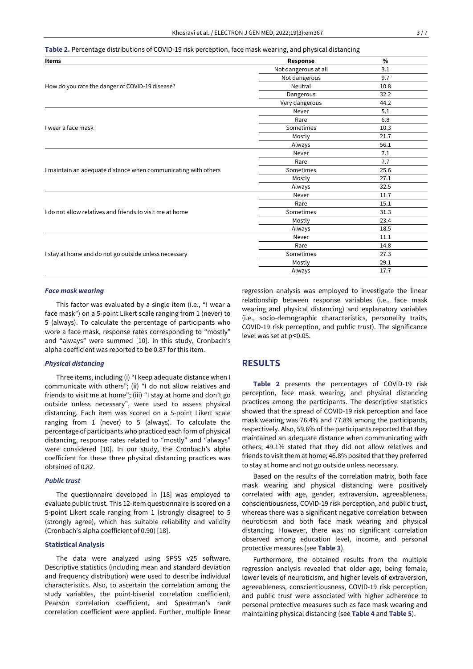**Table 2.** Percentage distributions of COVID-19 risk perception, face mask wearing, and physical distancing

| <b>Items</b>                                                   | Response             | $\frac{0}{0}$ |
|----------------------------------------------------------------|----------------------|---------------|
|                                                                | Not dangerous at all | 3.1           |
|                                                                | Not dangerous        | 9.7           |
| How do you rate the danger of COVID-19 disease?                | Neutral              | 10.8          |
|                                                                | Dangerous            | 32.2          |
|                                                                | Very dangerous       | 44.2          |
|                                                                | Never                | 5.1           |
|                                                                | Rare                 | 6.8           |
| I wear a face mask                                             | Sometimes            | 10.3          |
|                                                                | Mostly               | 21.7          |
|                                                                | Always               | 56.1          |
|                                                                | Never                | 7.1           |
|                                                                | Rare                 | 7.7           |
| I maintain an adequate distance when communicating with others | Sometimes            | 25.6          |
|                                                                | Mostly               | 27.1          |
|                                                                | Always               | 32.5          |
|                                                                | Never                | 11.7          |
|                                                                | Rare                 | 15.1          |
| I do not allow relatives and friends to visit me at home       | Sometimes            | 31.3          |
|                                                                | Mostly               | 23.4          |
|                                                                | Always               | 18.5          |
|                                                                | Never                | 11.1          |
|                                                                | Rare                 | 14.8          |
| I stay at home and do not go outside unless necessary          | Sometimes            | 27.3          |
|                                                                | Mostly               | 29.1          |
|                                                                | Always               | 17.7          |

### *Face mask wearing*

This factor was evaluated by a single item (i.e., "I wear a face mask") on a 5-point Likert scale ranging from 1 (never) to 5 (always). To calculate the percentage of participants who wore a face mask, response rates corresponding to "mostly" and "always" were summed [10]. In this study, Cronbach's alpha coefficient was reported to be 0.87 for this item.

#### *Physical distancing*

Three items, including (i) "I keep adequate distance when I communicate with others"; (ii) "I do not allow relatives and friends to visit me at home"; (iii) "I stay at home and don't go outside unless necessary", were used to assess physical distancing. Each item was scored on a 5-point Likert scale ranging from 1 (never) to 5 (always). To calculate the percentage of participants who practiced each form of physical distancing, response rates related to "mostly" and "always" were considered [10]. In our study, the Cronbach's alpha coefficient for these three physical distancing practices was obtained of 0.82.

#### *Public trust*

The questionnaire developed in [18] was employed to evaluate public trust. This 12-item questionnaire is scored on a 5-point Likert scale ranging from 1 (strongly disagree) to 5 (strongly agree), which has suitable reliability and validity (Cronbach's alpha coefficient of 0.90) [18].

## **Statistical Analysis**

The data were analyzed using SPSS v25 software. Descriptive statistics (including mean and standard deviation and frequency distribution) were used to describe individual characteristics. Also, to ascertain the correlation among the study variables, the point-biserial correlation coefficient, Pearson correlation coefficient, and Spearman's rank correlation coefficient were applied. Further, multiple linear regression analysis was employed to investigate the linear relationship between response variables (i.e., face mask wearing and physical distancing) and explanatory variables (i.e., socio-demographic characteristics, personality traits, COVID-19 risk perception, and public trust). The significance level was set at p˂0.05.

## **RESULTS**

**Table 2** presents the percentages of COVID-19 risk perception, face mask wearing, and physical distancing practices among the participants. The descriptive statistics showed that the spread of COVID-19 risk perception and face mask wearing was 76.4% and 77.8% among the participants, respectively. Also, 59.6% of the participants reported that they maintained an adequate distance when communicating with others; 49.1% stated that they did not allow relatives and friends to visit them at home; 46.8% posited that they preferred to stay at home and not go outside unless necessary.

Based on the results of the correlation matrix, both face mask wearing and physical distancing were positively correlated with age, gender, extraversion, agreeableness, conscientiousness, COVID-19 risk perception, and public trust, whereas there was a significant negative correlation between neuroticism and both face mask wearing and physical distancing. However, there was no significant correlation observed among education level, income, and personal protective measures (see **Table 3**).

Furthermore, the obtained results from the multiple regression analysis revealed that older age, being female, lower levels of neuroticism, and higher levels of extraversion, agreeableness, conscientiousness, COVID-19 risk perception, and public trust were associated with higher adherence to personal protective measures such as face mask wearing and maintaining physical distancing (see **Table 4** and **Table 5**).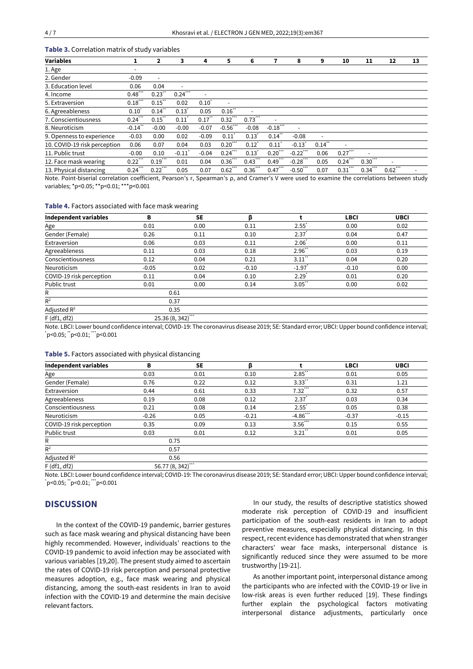## **Table 3.** Correlation matrix of study variables

| <b>Variables</b>             |                  | $\mathbf{2}$             | 3                        | 4                | 5                       | 6                        | 7                    | 8                        | 9                        | 10                       | 11         | 12                       | 13 |
|------------------------------|------------------|--------------------------|--------------------------|------------------|-------------------------|--------------------------|----------------------|--------------------------|--------------------------|--------------------------|------------|--------------------------|----|
| 1. Age                       |                  |                          |                          |                  |                         |                          |                      |                          |                          |                          |            |                          |    |
| 2. Gender                    | $-0.09$          | $\overline{\phantom{a}}$ |                          |                  |                         |                          |                      |                          |                          |                          |            |                          |    |
| 3. Education level           | 0.06             | 0.04                     | $\overline{\phantom{a}}$ |                  |                         |                          |                      |                          |                          |                          |            |                          |    |
| 4. Income                    | $0.48$ ***       | $0.23$ "                 | $0.24$ <sup>***</sup>    |                  |                         |                          |                      |                          |                          |                          |            |                          |    |
| 5. Extraversion              | $0.18$ ***       | $0.15$ "                 | 0.02                     | $0.10^{\degree}$ |                         |                          |                      |                          |                          |                          |            |                          |    |
| 6. Agreeableness             | $0.10^{\degree}$ | $0.14$ "                 | $0.13$ <sup>*</sup>      | 0.05             | $0.16$ <sup>**</sup>    | $\overline{\phantom{a}}$ |                      |                          |                          |                          |            |                          |    |
| 7. Conscientiousness         | $0.24$ ***       | $0.15$ "                 | 0.11                     | $0.17$ "         | $0.32$ ***              | $0.73$ ***               | ٠                    |                          |                          |                          |            |                          |    |
| 8. Neuroticism               | $-0.14$ "        | $-0.00$                  | $-0.00$                  | $-0.07$          | $-0.56$ ***             | $-0.08$                  | $-0.18$ ***          | $\overline{\phantom{a}}$ |                          |                          |            |                          |    |
| 9. Openness to experience    | $-0.03$          | 0.00                     | 0.02                     | $-0.09$          | $0.11$ <sup>*</sup>     | $0.13$ <sup>*</sup>      | $0.14$ <sup>**</sup> | $-0.08$                  | $\overline{\phantom{a}}$ |                          |            |                          |    |
| 10. COVID-19 risk perception | 0.06             | 0.07                     | 0.04                     | 0.03             | ***<br>$0.20^{\degree}$ | $0.12^{\degree}$         | 0.11                 | $-0.13$ <sup>*</sup>     | $0.14$ "                 | $\overline{\phantom{a}}$ |            |                          |    |
| 11. Public trust             | $-0.00$          | 0.10                     | $-0.11$                  | $-0.04$          | $0.24$ <sup>***</sup>   | 0.13                     | $0.20$ **            | $-0.22$                  | 0.06                     | $0.27$ ***               |            |                          |    |
| 12. Face mask wearing        | $0.22$ ***       | $0.19$ <sup>***</sup>    | 0.01                     | 0.04             | $0.36$                  | $0.43$ ***               | $0.49$ ***           | $-0.28$                  | 0.05                     | 0.24                     | 0.30       | $\overline{\phantom{0}}$ |    |
| 13. Physical distancing      | $0.24$ ***       | $0.22$ ***               | 0.05                     | 0.07             | ***<br>0.62             | $0.36$ ***               | $0.47$ ***           | $-0.50$ ***              | 0.07                     | 0.31                     | $0.34$ *** | $0.62$ ***               |    |

Note. Point-biserial correlation coefficient, Pearson's r, Spearman's ρ, and Cramer's V were used to examine the correlations between study variables; \*p<0.05; \*\*p<0.01; \*\*\*p<0.001

#### **Table 4.** Factors associated with face mask wearing

| <b>Independent variables</b> | в       | <b>SE</b>         | ß       |                     | <b>LBCI</b> | <b>UBCI</b> |
|------------------------------|---------|-------------------|---------|---------------------|-------------|-------------|
| Age                          | 0.01    | 0.00              | 0.11    | $2.55^{\degree}$    | 0.00        | 0.02        |
| Gender (Female)              | 0.26    | 0.11              | 0.10    | $2.37$ <sup>*</sup> | 0.04        | 0.47        |
| Extraversion                 | 0.06    | 0.03              | 0.11    | $2.06^{\degree}$    | 0.00        | 0.11        |
| Agreeableness                | 0.11    | 0.03              | 0.18    | $2.96$ "            | 0.03        | 0.19        |
| Conscientiousness            | 0.12    | 0.04              | 0.21    | $3.11$ "            | 0.04        | 0.20        |
| Neuroticism                  | $-0.05$ | 0.02              | $-0.10$ | $-1.97$             | $-0.10$     | 0.00        |
| COVID-19 risk perception     | 0.11    | 0.04              | 0.10    | $2.29^{\degree}$    | 0.01        | 0.20        |
| Public trust                 | 0.01    | 0.00              | 0.14    | $3.05$ "            | 0.00        | 0.02        |
| R                            | 0.61    |                   |         |                     |             |             |
| $R^2$                        | 0.37    |                   |         |                     |             |             |
| Adjusted $R^2$               |         | 0.35              |         |                     |             |             |
| $F$ (df1, df2)               |         | $25.36(8, 342)$ " |         |                     |             |             |

Note. LBCI: Lower bound confidence interval; COVID-19: The coronavirus disease 2019; SE: Standard error; UBCI: Upper bound confidence interval;  $ip<0.05$ ;  $ip<0.01$ ;  $ip<0.001$ 

### **Table 5.** Factors associated with physical distancing

| <b>Independent variables</b> | в       | <b>SE</b>       | ß       |                      | <b>LBCI</b> | <b>UBCI</b> |
|------------------------------|---------|-----------------|---------|----------------------|-------------|-------------|
| Age                          | 0.03    | 0.01            | 0.10    | $2.85$ <sup>**</sup> | 0.01        | 0.05        |
| Gender (Female)              | 0.76    | 0.22            | 0.12    | $3.33$ "             | 0.31        | 1.21        |
| Extraversion                 | 0.44    | 0.61            | 0.33    | $7.32$ ***           | 0.32        | 0.57        |
| Agreeableness                | 0.19    | 0.08            | 0.12    | $2.37$ <sup>*</sup>  | 0.03        | 0.34        |
| Conscientiousness            | 0.21    | 0.08            | 0.14    | $2.55^*$             | 0.05        | 0.38        |
| Neuroticism                  | $-0.26$ | 0.05            | $-0.21$ | $-4.86$ ***          | $-0.37$     | $-0.15$     |
| COVID-19 risk perception     | 0.35    | 0.09            | 0.13    | $3.56$ **            | 0.15        | 0.55        |
| Public trust                 | 0.03    | 0.01            | 0.12    | $3.21$ "             | 0.01        | 0.05        |
| R                            |         | 0.75            |         |                      |             |             |
| $R^2$                        |         | 0.57            |         |                      |             |             |
| Adjusted $R^2$               |         | 0.56            |         |                      |             |             |
| $F$ (df1, df2)               |         | 56.77 (8, 342)" |         |                      |             |             |

Note. LBCI: Lower bound confidence interval; COVID-19: The coronavirus disease 2019; SE: Standard error; UBCI: Upper bound confidence interval;  $\text{`p<0.05}; \text{``p<0.01}; \text{```p<0.001}$ 

# **DISCUSSION**

In the context of the COVID-19 pandemic, barrier gestures such as face mask wearing and physical distancing have been highly recommended. However, individuals' reactions to the COVID-19 pandemic to avoid infection may be associated with various variables [19,20]. The present study aimed to ascertain the rates of COVID-19 risk perception and personal protective measures adoption, e.g., face mask wearing and physical distancing, among the south-east residents in Iran to avoid infection with the COVID-19 and determine the main decisive relevant factors.

In our study, the results of descriptive statistics showed moderate risk perception of COVID-19 and insufficient participation of the south-east residents in Iran to adopt preventive measures, especially physical distancing. In this respect, recent evidence has demonstrated that when stranger characters' wear face masks, interpersonal distance is significantly reduced since they were assumed to be more trustworthy [19-21].

As another important point, interpersonal distance among the participants who are infected with the COVID-19 or live in low-risk areas is even further reduced [19]. These findings further explain the psychological factors motivating interpersonal distance adjustments, particularly once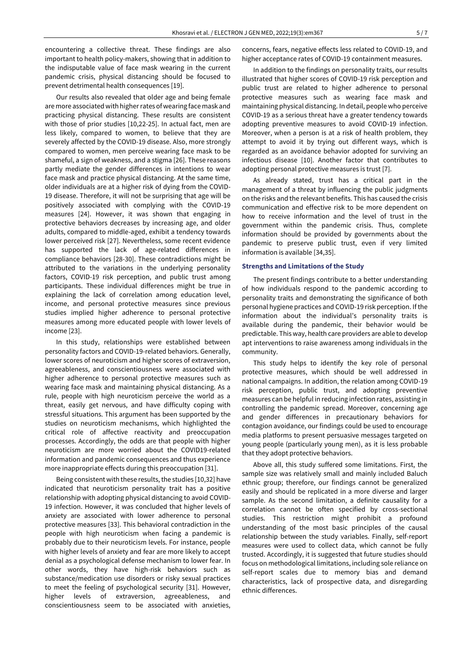encountering a collective threat. These findings are also important to health policy-makers, showing that in addition to the indisputable value of face mask wearing in the current pandemic crisis, physical distancing should be focused to prevent detrimental health consequences [19].

Our results also revealed that older age and being female are more associated with higher rates of wearing face mask and practicing physical distancing. These results are consistent with those of prior studies [10,22-25]. In actual fact, men are less likely, compared to women, to believe that they are severely affected by the COVID-19 disease. Also, more strongly compared to women, men perceive wearing face mask to be shameful, a sign of weakness, and a stigma [26]. These reasons partly mediate the gender differences in intentions to wear face mask and practice physical distancing. At the same time, older individuals are at a higher risk of dying from the COVID-19 disease. Therefore, it will not be surprising that age will be positively associated with complying with the COVID-19 measures [24]. However, it was shown that engaging in protective behaviors decreases by increasing age, and older adults, compared to middle-aged, exhibit a tendency towards lower perceived risk [27]. Nevertheless, some recent evidence has supported the lack of age-related differences in compliance behaviors [28-30]. These contradictions might be attributed to the variations in the underlying personality factors, COVID-19 risk perception, and public trust among participants. These individual differences might be true in explaining the lack of correlation among education level, income, and personal protective measures since previous studies implied higher adherence to personal protective measures among more educated people with lower levels of income [23].

In this study, relationships were established between personality factors and COVID-19-related behaviors. Generally, lower scores of neuroticism and higher scores of extraversion, agreeableness, and conscientiousness were associated with higher adherence to personal protective measures such as wearing face mask and maintaining physical distancing. As a rule, people with high neuroticism perceive the world as a threat, easily get nervous, and have difficulty coping with stressful situations. This argument has been supported by the studies on neuroticism mechanisms, which highlighted the critical role of affective reactivity and preoccupation processes. Accordingly, the odds are that people with higher neuroticism are more worried about the COVID19-related information and pandemic consequences and thus experience more inappropriate effects during this preoccupation [31].

Being consistent with these results, the studies [10,32] have indicated that neuroticism personality trait has a positive relationship with adopting physical distancing to avoid COVID-19 infection. However, it was concluded that higher levels of anxiety are associated with lower adherence to personal protective measures [33]. This behavioral contradiction in the people with high neuroticism when facing a pandemic is probably due to their neuroticism levels. For instance, people with higher levels of anxiety and fear are more likely to accept denial as a psychological defense mechanism to lower fear. In other words, they have high-risk behaviors such as substance/medication use disorders or risky sexual practices to meet the feeling of psychological security [31]. However, higher levels of extraversion, agreeableness, and conscientiousness seem to be associated with anxieties,

concerns, fears, negative effects less related to COVID-19, and higher acceptance rates of COVID-19 containment measures.

In addition to the findings on personality traits, our results illustrated that higher scores of COVID-19 risk perception and public trust are related to higher adherence to personal protective measures such as wearing face mask and maintaining physical distancing. In detail, people who perceive COVID-19 as a serious threat have a greater tendency towards adopting preventive measures to avoid COVID-19 infection. Moreover, when a person is at a risk of health problem, they attempt to avoid it by trying out different ways, which is regarded as an avoidance behavior adopted for surviving an infectious disease [10]. Another factor that contributes to adopting personal protective measures is trust [7].

As already stated, trust has a critical part in the management of a threat by influencing the public judgments on the risks and the relevant benefits. This has caused the crisis communication and effective risk to be more dependent on how to receive information and the level of trust in the government within the pandemic crisis. Thus, complete information should be provided by governments about the pandemic to preserve public trust, even if very limited information is available [34,35].

## **Strengths and Limitations of the Study**

The present findings contribute to a better understanding of how individuals respond to the pandemic according to personality traits and demonstrating the significance of both personal hygiene practices and COVID-19 risk perception. If the information about the individual's personality traits is available during the pandemic, their behavior would be predictable. This way, health care providers are able to develop apt interventions to raise awareness among individuals in the community.

This study helps to identify the key role of personal protective measures, which should be well addressed in national campaigns. In addition, the relation among COVID-19 risk perception, public trust, and adopting preventive measures can be helpful in reducing infection rates, assisting in controlling the pandemic spread. Moreover, concerning age and gender differences in precautionary behaviors for contagion avoidance, our findings could be used to encourage media platforms to present persuasive messages targeted on young people (particularly young men), as it is less probable that they adopt protective behaviors.

Above all, this study suffered some limitations. First, the sample size was relatively small and mainly included Baluch ethnic group; therefore, our findings cannot be generalized easily and should be replicated in a more diverse and larger sample. As the second limitation, a definite causality for a correlation cannot be often specified by cross-sectional studies. This restriction might prohibit a profound understanding of the most basic principles of the causal relationship between the study variables. Finally, self-report measures were used to collect data, which cannot be fully trusted. Accordingly, it is suggested that future studies should focus on methodological limitations, including sole reliance on self-report scales due to memory bias and demand characteristics, lack of prospective data, and disregarding ethnic differences.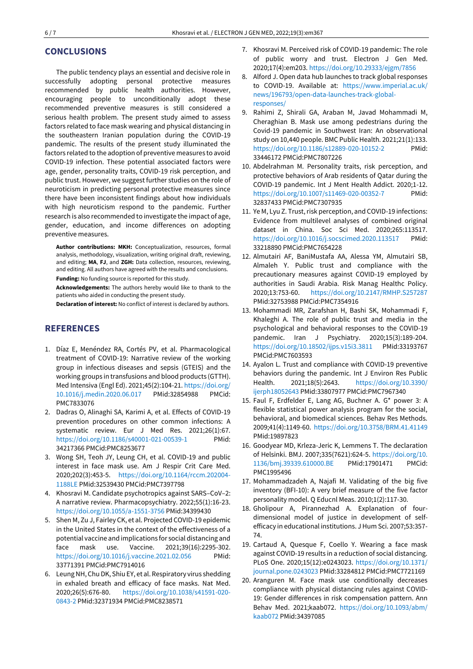## **CONCLUSIONS**

The public tendency plays an essential and decisive role in successfully adopting personal protective measures recommended by public health authorities. However, encouraging people to unconditionally adopt these recommended preventive measures is still considered a serious health problem. The present study aimed to assess factors related to face mask wearing and physical distancing in the southeastern Iranian population during the COVID-19 pandemic. The results of the present study illuminated the factors related to the adoption of preventive measures to avoid COVID-19 infection. These potential associated factors were age, gender, personality traits, COVID-19 risk perception, and public trust. However, we suggest further studies on the role of neuroticism in predicting personal protective measures since there have been inconsistent findings about how individuals with high neuroticism respond to the pandemic. Further research is also recommended to investigate the impact of age, gender, education, and income differences on adopting preventive measures.

**Author contributions: MKH:** Conceptualization, resources, formal analysis, methodology, visualization, writing original draft, reviewing, and editing; **MA**, **FJ**, and **ZGH:** Data collection, resources, reviewing, and editing. All authors have agreed with the results and conclusions. **Funding:** No funding source is reported for this study.

**Acknowledgements:** The authors hereby would like to thank to the patients who aided in conducting the present study.

**Declaration of interest:** No conflict of interest is declared by authors.

# **REFERENCES**

- 1. Díaz E, Menéndez RA, Cortés PV, et al. Pharmacological treatment of COVID-19: Narrative review of the working group in infectious diseases and sepsis (GTEIS) and the working groups in transfusions and blood products (GTTH). Med Intensiva (Engl Ed). 2021;45(2):104-21[. https://doi.org/](https://doi.org/10.1016/j.medin.2020.06.017) [10.1016/j.medin.2020.06.017](https://doi.org/10.1016/j.medin.2020.06.017) PMid:32854988 PMCid: PMC7833076
- 2. Dadras O, Alinaghi SA, Karimi A, et al. Effects of COVID-19 prevention procedures on other common infections: A systematic review. Eur J Med Res. 2021;26(1):67. <https://doi.org/10.1186/s40001-021-00539-1> 34217366 PMCid:PMC8253677
- 3. Wong SH, Teoh JY, Leung CH, et al. COVID-19 and public interest in face mask use. Am J Respir Crit Care Med. 2020;202(3):453-5. [https://doi.org/10.1164/rccm.202004-](https://doi.org/10.1164/rccm.202004-1188LE) [1188LE](https://doi.org/10.1164/rccm.202004-1188LE) PMid:32539430 PMCid:PMC7397798
- 4. Khosravi M. Candidate psychotropics against SARS–CoV–2: A narrative review. Pharmacopsychiatry. 2022;55(1):16-23. <https://doi.org/10.1055/a-1551-3756> PMid:34399430
- 5. Shen M, Zu J, Fairley CK, et al. Projected COVID-19 epidemic in the United States in the context of the effectiveness of a potential vaccine and implications for social distancing and face mask use. Vaccine. 2021;39(16):2295-302. <https://doi.org/10.1016/j.vaccine.2021.02.056> PMid: 33771391 PMCid:PMC7914016
- 6. Leung NH, Chu DK, Shiu EY, et al. Respiratory virus shedding in exhaled breath and efficacy of face masks. Nat Med. 2020;26(5):676-80. [https://doi.org/10.1038/s41591-020-](https://doi.org/10.1038/s41591-020-0843-2) [0843-2](https://doi.org/10.1038/s41591-020-0843-2) PMid:32371934 PMCid:PMC8238571
- 7. Khosravi M. Perceived risk of COVID-19 pandemic: The role of public worry and trust. Electron J Gen Med. 2020;17(4):em203[. https://doi.org/10.29333/ejgm/7856](https://doi.org/10.29333/ejgm/7856)
- 8. Alford J. Open data hub launches to track global responses to COVID-19. Available at: [https://www.imperial.ac.uk/](https://www.imperial.ac.uk/news/196793/open-data-launches-track-global-responses/) [news/196793/open-data-launches-track-global](https://www.imperial.ac.uk/news/196793/open-data-launches-track-global-responses/)[responses/](https://www.imperial.ac.uk/news/196793/open-data-launches-track-global-responses/)
- 9. Rahimi Z, Shirali GA, Araban M, Javad Mohammadi M, Cheraghian B. Mask use among pedestrians during the Covid-19 pandemic in Southwest Iran: An observational study on 10,440 people. BMC Public Health. 2021;21(1):133. <https://doi.org/10.1186/s12889-020-10152-2> PMid: 33446172 PMCid:PMC7807226
- 10. Abdelrahman M. Personality traits, risk perception, and protective behaviors of Arab residents of Qatar during the COVID-19 pandemic. Int J Ment Health Addict. 2020;1-12. <https://doi.org/10.1007/s11469-020-00352-7> PMid: 32837433 PMCid:PMC7307935
- 11. Ye M, Lyu Z. Trust, risk perception, and COVID-19 infections: Evidence from multilevel analyses of combined original dataset in China. Soc Sci Med. 2020;265:113517. <https://doi.org/10.1016/j.socscimed.2020.113517> PMid: 33218890 PMCid:PMC7654228
- 12. Almutairi AF, BaniMustafa AA, Alessa YM, Almutairi SB, Almaleh Y. Public trust and compliance with the precautionary measures against COVID-19 employed by authorities in Saudi Arabia. Risk Manag Healthc Policy. 2020;13:753-60. <https://doi.org/10.2147/RMHP.S257287> PMid:32753988 PMCid:PMC7354916
- 13. Mohammadi MR, Zarafshan H, Bashi SK, Mohammadi F, Khaleghi A. The role of public trust and media in the psychological and behavioral responses to the COVID-19 pandemic. Iran J Psychiatry. 2020;15(3):189-204. <https://doi.org/10.18502/ijps.v15i3.3811> PMid:33193767 PMCid:PMC7603593
- 14. Ayalon L. Trust and compliance with COVID-19 preventive behaviors during the pandemic. Int J Environ Res Public Health. 2021;18(5):2643. [https://doi.org/10.3390/](https://doi.org/10.3390/ijerph18052643) [ijerph18052643](https://doi.org/10.3390/ijerph18052643) PMid:33807977 PMCid:PMC7967340
- 15. Faul F, Erdfelder E, Lang AG, Buchner A. G\* power 3: A flexible statistical power analysis program for the social, behavioral, and biomedical sciences. Behav Res Methods. 2009;41(4):1149-60.<https://doi.org/10.3758/BRM.41.41149> PMid:19897823
- 16. Goodyear MD, Krleza-Jeric K, Lemmens T. The declaration of Helsinki. BMJ. 2007;335(7621):624-5. [https://doi.org/10.](https://doi.org/10.1136/bmj.39339.610000.BE) [1136/bmj.39339.610000.BE](https://doi.org/10.1136/bmj.39339.610000.BE) PMid:17901471 PMCid: PMC1995496
- 17. Mohammadzadeh A, Najafi M. Validating of the big five inventory (BFI-10): A very brief measure of the five factor personality model. Q Educnl Meas. 2010;1(2):117-30.
- 18. Gholipour A, Pirannezhad A. Explanation of fourdimensional model of justice in development of selfefficacy in educational institutions. J Hum Sci. 2007;53:357- 74.
- 19. Cartaud A, Quesque F, Coello Y. Wearing a face mask against COVID-19 results in a reduction of social distancing. PLoS One. 2020;15(12):e0243023. [https://doi.org/10.1371/](https://doi.org/10.1371/journal.pone.0243023) [journal.pone.0243023](https://doi.org/10.1371/journal.pone.0243023) PMid:33284812 PMCid:PMC7721169
- 20. Aranguren M. Face mask use conditionally decreases compliance with physical distancing rules against COVID-19: Gender differences in risk compensation pattern. Ann Behav Med. 2021;kaab072. [https://doi.org/10.1093/abm/](https://doi.org/10.1093/abm/kaab072) [kaab072](https://doi.org/10.1093/abm/kaab072) PMid:34397085